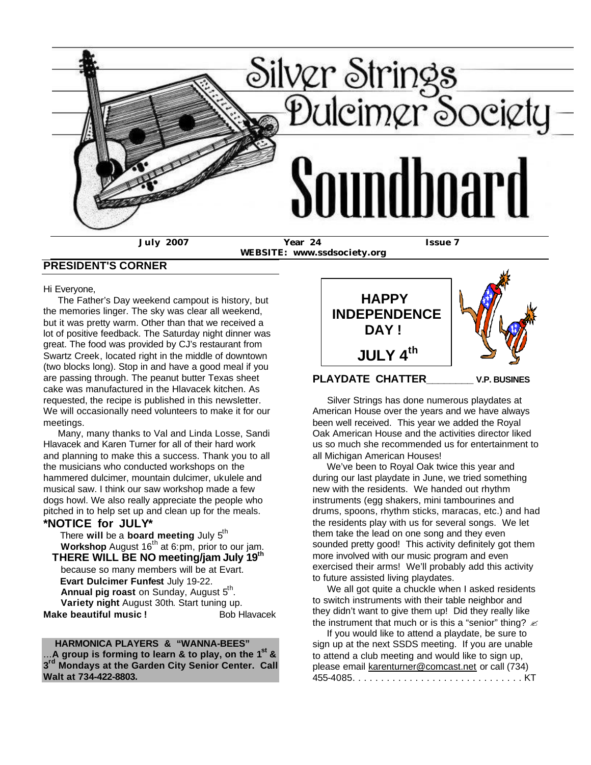

**WEBSITE: www.ssdsociety.org**

#### **PRESIDENT'S CORNER**

Hi Everyone,

 The Father's Day weekend campout is history, but the memories linger. The sky was clear all weekend, but it was pretty warm. Other than that we received a lot of positive feedback. The Saturday night dinner was great. The food was provided by CJ's restaurant from Swartz Creek, located right in the middle of downtown (two blocks long). Stop in and have a good meal if you are passing through. The peanut butter Texas sheet cake was manufactured in the Hlavacek kitchen. As requested, the recipe is published in this newsletter. We will occasionally need volunteers to make it for our meetings.

 Many, many thanks to Val and Linda Losse, Sandi Hlavacek and Karen Turner for all of their hard work and planning to make this a success. Thank you to all the musicians who conducted workshops on the hammered dulcimer, mountain dulcimer, ukulele and musical saw. I think our saw workshop made a few dogs howl. We also really appreciate the people who pitched in to help set up and clean up for the meals.

#### **\*NOTICE for JULY\***

 There **will** be a **board meeting** July 5th **Workshop** August 16<sup>th</sup> at 6:pm, prior to our jam.

 **THERE WILL BE NO meeting/jam July 19th** because so many members will be at Evart.  **Evart Dulcimer Funfest** July 19-22. Annual pig roast on Sunday, August 5<sup>th</sup>. **Variety night** August 30th. Start tuning up. **Make beautiful music !** Bob Hlavacek

 **HARMONICA PLAYERS & "WANNA-BEES"** ...**A group is forming to learn & to play, on the 1st & 3 rd Mondays at the Garden City Senior Center. Call Walt at 734-422-8803.**



 Silver Strings has done numerous playdates at American House over the years and we have always been well received. This year we added the Royal Oak American House and the activities director liked us so much she recommended us for entertainment to all Michigan American Houses!

 We've been to Royal Oak twice this year and during our last playdate in June, we tried something new with the residents. We handed out rhythm instruments (egg shakers, mini tambourines and drums, spoons, rhythm sticks, maracas, etc.) and had the residents play with us for several songs. We let them take the lead on one song and they even sounded pretty good! This activity definitely got them more involved with our music program and even exercised their arms! We'll probably add this activity to future assisted living playdates.

We all got quite a chuckle when I asked residents to switch instruments with their table neighbor and they didn't want to give them up! Did they really like the instrument that much or is this a "senior" thing?  $\ll$ 

 If you would like to attend a playdate, be sure to sign up at the next SSDS meeting. If you are unable to attend a club meeting and would like to sign up, please email karenturner@comcast.net or call (734) 455-4085. . . . . . . . . . . . . . . . . . . . . . . . . . . . . . KT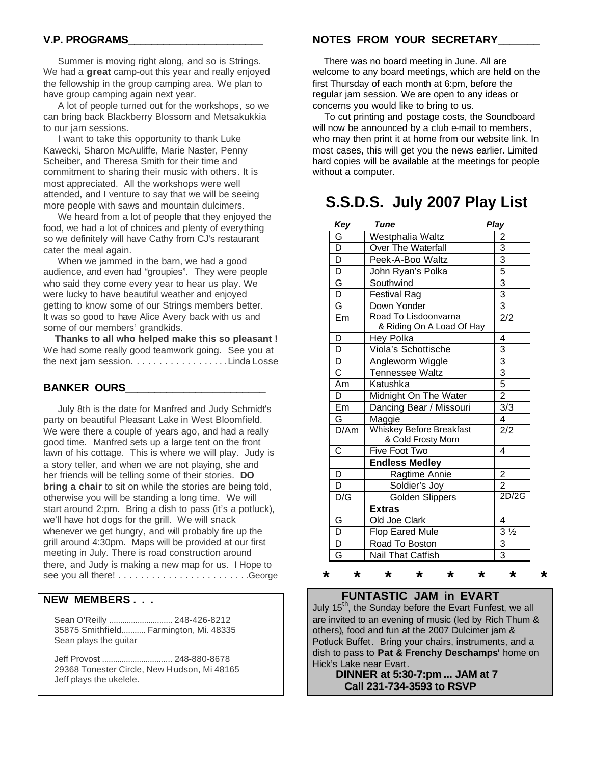#### **V.P. PROGRAMS\_\_\_\_\_\_\_\_\_\_\_\_\_\_\_\_\_\_\_\_\_\_\_**

 Summer is moving right along, and so is Strings. We had a **great** camp-out this year and really enjoyed the fellowship in the group camping area. We plan to have group camping again next year.

 A lot of people turned out for the workshops, so we can bring back Blackberry Blossom and Metsakukkia to our jam sessions.

 I want to take this opportunity to thank Luke Kawecki, Sharon McAuliffe, Marie Naster, Penny Scheiber, and Theresa Smith for their time and commitment to sharing their music with others. It is most appreciated. All the workshops were well attended, and I venture to say that we will be seeing more people with saws and mountain dulcimers.

 We heard from a lot of people that they enjoyed the food, we had a lot of choices and plenty of everything so we definitely will have Cathy from CJ's restaurant cater the meal again.

 When we jammed in the barn, we had a good audience, and even had "groupies". They were people who said they come every year to hear us play. We were lucky to have beautiful weather and enjoyed getting to know some of our Strings members better. It was so good to have Alice Avery back with us and some of our members' grandkids.

 **Thanks to all who helped make this so pleasant !** We had some really good teamwork going. See you at the next jam session. . . . . . . . . . . . . . . . . .Linda Losse

#### **BANKER OURS\_\_\_\_\_\_\_\_\_\_\_\_\_\_\_\_\_\_\_\_\_\_\_\_**

 July 8th is the date for Manfred and Judy Schmidt's party on beautiful Pleasant Lake in West Bloomfield. We were there a couple of years ago, and had a really good time. Manfred sets up a large tent on the front lawn of his cottage. This is where we will play. Judy is a story teller, and when we are not playing, she and her friends will be telling some of their stories. **DO bring a chair** to sit on while the stories are being told, otherwise you will be standing a long time. We will start around 2:pm. Bring a dish to pass (it's a potluck), we'll have hot dogs for the grill. We will snack whenever we get hungry, and will probably fire up the grill around 4:30pm. Maps will be provided at our first meeting in July. There is road construction around there, and Judy is making a new map for us. I Hope to see you all there! . . . . . . . . . . . . . . . . . . . . . . . .George

#### **NEW MEMBERS . . .**

 Sean O'Reilly ............................. 248-426-8212 35875 Smithfield........... Farmington, Mi. 48335 Sean plays the guitar

 Jeff Provost ................................ 248-880-8678 29368 Tonester Circle, New Hudson, Mi 48165 Jeff plays the ukelele.

#### **NOTES FROM YOUR SECRETARY\_\_\_\_\_\_\_**

 There was no board meeting in June. All are welcome to any board meetings, which are held on the first Thursday of each month at 6:pm, before the regular jam session. We are open to any ideas or concerns you would like to bring to us.

 To cut printing and postage costs, the Soundboard will now be announced by a club e-mail to members, who may then print it at home from our website link. In most cases, this will get you the news earlier. Limited hard copies will be available at the meetings for people without a computer.

## **S.S.D.S. July 2007 Play List**

| Key                     | <b>Tune</b>                                           | <b>Play</b>                 |
|-------------------------|-------------------------------------------------------|-----------------------------|
| $rac{\overline{G}}{D}$  | Westphalia Waltz                                      | $\overline{\mathbf{c}}$     |
|                         | Over The Waterfall                                    |                             |
| D                       | Peek-A-Boo Waltz                                      | $\frac{3}{3}$ $\frac{3}{5}$ |
| $\overline{\mathsf{D}}$ | John Ryan's Polka                                     |                             |
| $\overline{G}$          | Southwind                                             |                             |
| $\overline{\mathsf{D}}$ | <b>Festival Rag</b>                                   | $\frac{3}{3}$               |
| G                       | Down Yonder                                           |                             |
| Em                      | Road To Lisdoonvarna                                  | $\overline{2/2}$            |
|                         | & Riding On A Load Of Hay                             |                             |
| D                       | Hey Polka                                             | $\overline{\mathbf{4}}$     |
| $\overline{\mathsf{D}}$ | Viola's Schottische                                   |                             |
| $\overline{\mathsf{D}}$ | Angleworm Wiggle                                      | $\frac{3}{3}$               |
| $\overline{\text{c}}$   | <b>Tennessee Waltz</b>                                |                             |
| Am                      | Katushka                                              | $\frac{5}{2}$               |
| D                       | Midnight On The Water                                 |                             |
| Em                      | Dancing Bear / Missouri                               | 3/3                         |
| G                       | Maggie                                                | $\overline{\mathbf{4}}$     |
| $\overline{D/Am}$       | <b>Whiskey Before Breakfast</b><br>& Cold Frosty Morn | $\overline{2/2}$            |
| C                       | Five Foot Two                                         | $\overline{\mathbf{4}}$     |
|                         | <b>Endless Medley</b>                                 |                             |
| D                       | Ragtime Annie                                         | $\overline{c}$              |
| $\overline{\mathsf{D}}$ | Soldier's Joy                                         | $\overline{2}$              |
| D/G                     | <b>Golden Slippers</b>                                | 2D/2G                       |
|                         | <b>Extras</b>                                         |                             |
| G                       | Old Joe Clark                                         | 4                           |
| $\overline{\mathsf{D}}$ | <b>Flop Eared Mule</b>                                | $\overline{3\frac{1}{2}}$   |
| $\overline{\mathsf{D}}$ | Road To Boston                                        | $rac{3}{3}$                 |
| Ġ                       | <b>Nail That Catfish</b>                              |                             |

## **\* \* \* \* \* \* \* \***

### **FUNTASTIC JAM in EVART**

July 15<sup>th</sup>, the Sunday before the Evart Funfest, we all are invited to an evening of music (led by Rich Thum & others), food and fun at the 2007 Dulcimer jam & Potluck Buffet. Bring your chairs, instruments, and a dish to pass to **Pat & Frenchy Deschamps'** home on Hick's Lake near Evart.

> **DINNER at 5:30-7:pm ... JAM at 7 Call 231-734-3593 to RSVP**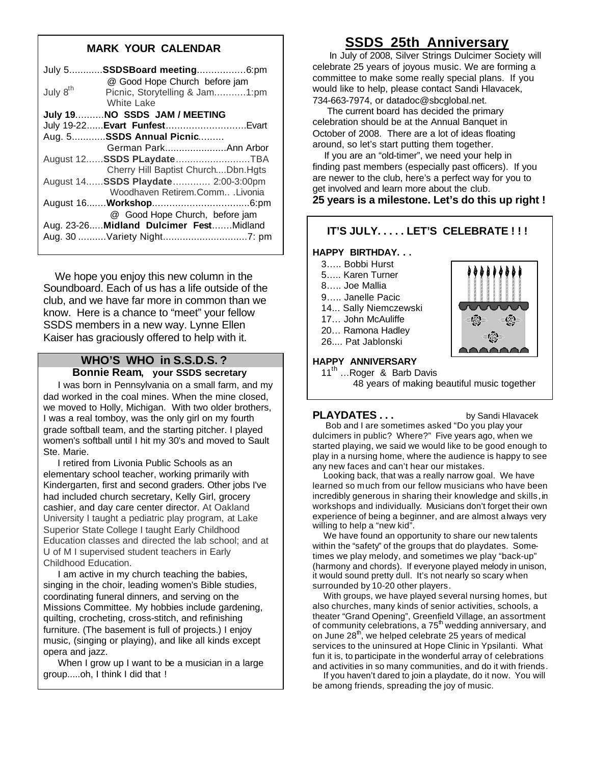#### **MARK YOUR CALENDAR**

|                      | July 5 SSDSBoard meeting 6:pm            |  |
|----------------------|------------------------------------------|--|
|                      | @ Good Hope Church before jam            |  |
| July 8 <sup>th</sup> | Picnic, Storytelling & Jam1:pm           |  |
|                      | White Lake                               |  |
|                      | July 19NO SSDS JAM / MEETING             |  |
|                      |                                          |  |
|                      | Aug. 5 SSDS Annual Picnic                |  |
|                      | German ParkAnn Arbor                     |  |
|                      | August 12 SSDS PLaydateTBA               |  |
|                      | Cherry Hill Baptist ChurchDbn.Hgts       |  |
|                      | August 14 SSDS Playdate 2:00-3:00pm      |  |
|                      | Woodhaven Retirem.CommLivonia            |  |
|                      |                                          |  |
|                      | @ Good Hope Church, before jam           |  |
|                      | Aug. 23-26 Midland Dulcimer Fest Midland |  |
|                      |                                          |  |
|                      |                                          |  |

 We hope you enjoy this new column in the Soundboard. Each of us has a life outside of the club, and we have far more in common than we know. Here is a chance to "meet" your fellow SSDS members in a new way. Lynne Ellen Kaiser has graciously offered to help with it.

#### **WHO'S WHO in S.S.D.S. ? Bonnie Ream, your SSDS secretary**

 I was born in Pennsylvania on a small farm, and my dad worked in the coal mines. When the mine closed, we moved to Holly, Michigan. With two older brothers, I was a real tomboy, was the only girl on my fourth grade softball team, and the starting pitcher. I played women's softball until I hit my 30's and moved to Sault Ste. Marie.

 I retired from Livonia Public Schools as an elementary school teacher, working primarily with Kindergarten, first and second graders. Other jobs I've had included church secretary, Kelly Girl, grocery cashier, and day care center director. At Oakland University I taught a pediatric play program, at Lake Superior State College I taught Early Childhood Education classes and directed the lab school; and at U of M I supervised student teachers in Early Childhood Education.

 I am active in my church teaching the babies, singing in the choir, leading women's Bible studies, coordinating funeral dinners, and serving on the Missions Committee. My hobbies include gardening, quilting, crocheting, cross-stitch, and refinishing furniture. (The basement is full of projects.) I enjoy music, (singing or playing), and like all kinds except opera and jazz.

 When I grow up I want to be a musician in a large group.....oh, I think I did that !

## **SSDS 25th Anniversary**

 In July of 2008, Silver Strings Dulcimer Society will celebrate 25 years of joyous music. We are forming a committee to make some really special plans. If you would like to help, please contact Sandi Hlavacek, 734-663-7974, or datadoc@sbcglobal.net.

 The current board has decided the primary celebration should be at the Annual Banquet in October of 2008. There are a lot of ideas floating around, so let's start putting them together.

 If you are an "old-timer", we need your help in finding past members (especially past officers). If you are newer to the club, here's a perfect way for you to get involved and learn more about the club. **25 years is a milestone. Let's do this up right !**

#### **IT'S JULY. . . . . LET'S CELEBRATE ! ! !**

#### **HAPPY BIRTHDAY. . .**

- 3….. Bobbi Hurst
- 5….. Karen Turner
- 8….. Joe Mallia
- 9….. Janelle Pacic
- 14... Sally Niemczewski
- 17… John McAuliffe
- 20… Ramona Hadley
- 26.... Pat Jablonski



#### **HAPPY ANNIVERSARY**

11<sup>th</sup> …Roger & Barb Davis 48 years of making beautiful music together

**PLAYDATES ...** by Sandi Hlavacek Bob and I are sometimes asked "Do you play your dulcimers in public? Where?" Five years ago, when we started playing, we said we would like to be good enough to play in a nursing home, where the audience is happy to see any new faces and can't hear our mistakes.

 Looking back, that was a really narrow goal. We have learned so much from our fellow musicians who have been incredibly generous in sharing their knowledge and skills, in workshops and individually. Musicians don't forget their own experience of being a beginner, and are almost always very willing to help a "new kid".

 We have found an opportunity to share our new talents within the "safety" of the groups that do playdates. Sometimes we play melody, and sometimes we play "back-up" (harmony and chords). If everyone played melody in unison, it would sound pretty dull. It's not nearly so scary when surrounded by 10-20 other players.

 With groups, we have played several nursing homes, but also churches, many kinds of senior activities, schools, a theater "Grand Opening", Greenfield Village, an assortment of community celebrations, a  $75<sup>th</sup>$  wedding anniversary, and on June 28<sup>th</sup>, we helped celebrate 25 years of medical services to the uninsured at Hope Clinic in Ypsilanti. What fun it is, to participate in the wonderful array of celebrations and activities in so many communities, and do it with friends.

 If you haven't dared to join a playdate, do it now. You will be among friends, spreading the joy of music.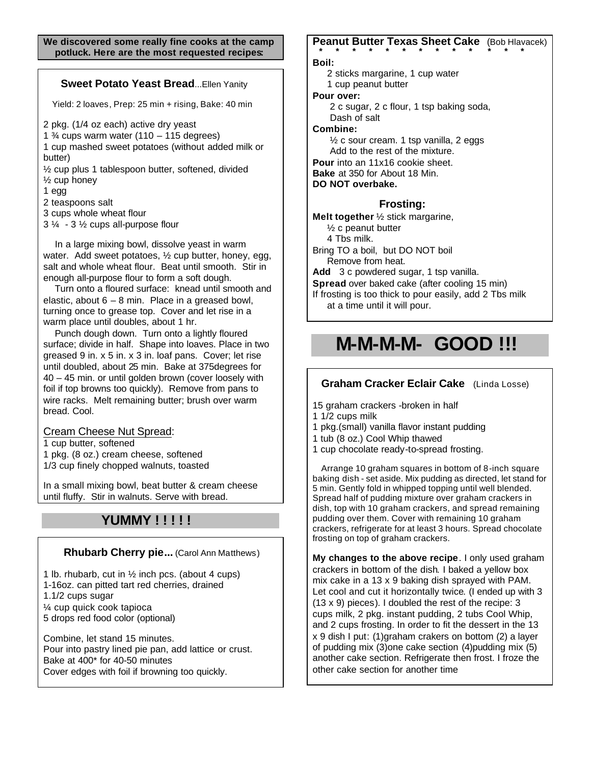**We discovered some really fine cooks at the camp potluck. Here are the most requested recipes:**

#### **Sweet Potato Yeast Bread...Ellen Yanity**

Yield: 2 loaves, Prep: 25 min + rising, Bake: 40 min

2 pkg. (1/4 oz each) active dry yeast

- 1  $\frac{3}{4}$  cups warm water (110 115 degrees)
- 1 cup mashed sweet potatoes (without added milk or butter)

½ cup plus 1 tablespoon butter, softened, divided ½ cup honey

- 1 egg
- 2 teaspoons salt
- 3 cups whole wheat flour
- $3\frac{1}{4}$   $3\frac{1}{2}$  cups all-purpose flour

 In a large mixing bowl, dissolve yeast in warm water. Add sweet potatoes, ½ cup butter, honey, egg, salt and whole wheat flour. Beat until smooth. Stir in enough all-purpose flour to form a soft dough.

 Turn onto a floured surface: knead until smooth and elastic, about  $6 - 8$  min. Place in a greased bowl, turning once to grease top. Cover and let rise in a warm place until doubles, about 1 hr.

 Punch dough down. Turn onto a lightly floured surface; divide in half. Shape into loaves. Place in two greased 9 in. x 5 in. x 3 in. loaf pans. Cover; let rise until doubled, about 25 min. Bake at 375degrees for 40 – 45 min. or until golden brown (cover loosely with foil if top browns too quickly). Remove from pans to wire racks. Melt remaining butter; brush over warm bread. Cool.

Cream Cheese Nut Spread:

1 cup butter, softened 1 pkg. (8 oz.) cream cheese, softened 1/3 cup finely chopped walnuts, toasted

In a small mixing bowl, beat butter & cream cheese until fluffy. Stir in walnuts. Serve with bread.

## **YUMMY ! ! ! ! !**

#### **Rhubarb Cherry pie...** (Carol Ann Matthews)

1 lb. rhubarb, cut in ½ inch pcs. (about 4 cups) 1-16oz. can pitted tart red cherries, drained 1.1/2 cups sugar ¼ cup quick cook tapioca 5 drops red food color (optional)

Combine, let stand 15 minutes. Pour into pastry lined pie pan, add lattice or crust. Bake at 400\* for 40-50 minutes Cover edges with foil if browning too quickly.

**Peanut Butter Texas Sheet Cake** (Bob Hlavacek)  **\* \* \* \* \* \* \* \* \* \* \* \* \***

#### **Boil:**

 2 sticks margarine, 1 cup water 1 cup peanut butter

#### **Pour over:**

 2 c sugar, 2 c flour, 1 tsp baking soda, Dash of salt

#### **Combine:**

 $\frac{1}{2}$  c sour cream. 1 tsp vanilla, 2 eggs Add to the rest of the mixture.

**Pour** into an 11x16 cookie sheet. **Bake** at 350 for About 18 Min.

#### **DO NOT overbake.**

#### **Frosting:**

**Melt together** ½ stick margarine, ½ c peanut butter

- 4 Tbs milk.
- Bring TO a boil, but DO NOT boil Remove from heat.

Add 3 c powdered sugar, 1 tsp vanilla.

**Spread** over baked cake (after cooling 15 min)

If frosting is too thick to pour easily, add 2 Tbs milk at a time until it will pour.

# **M-M-M-M- GOOD !!!**

#### **Graham Cracker Eclair Cake** (Linda Losse)

15 graham crackers -broken in half

1 1/2 cups milk

- 1 pkg.(small) vanilla flavor instant pudding
- 1 tub (8 oz.) Cool Whip thawed
- 1 cup chocolate ready-to-spread frosting.

 Arrange 10 graham squares in bottom of 8-inch square baking dish - set aside. Mix pudding as directed, let stand for 5 min. Gently fold in whipped topping until well blended. Spread half of pudding mixture over graham crackers in dish, top with 10 graham crackers, and spread remaining pudding over them. Cover with remaining 10 graham crackers, refrigerate for at least 3 hours. Spread chocolate frosting on top of graham crackers.

**My changes to the above recipe**. I only used graham crackers in bottom of the dish. I baked a yellow box mix cake in a 13 x 9 baking dish sprayed with PAM. Let cool and cut it horizontally twice. (I ended up with 3 (13 x 9) pieces). I doubled the rest of the recipe: 3 cups milk, 2 pkg. instant pudding, 2 tubs Cool Whip, and 2 cups frosting. In order to fit the dessert in the 13 x 9 dish I put: (1)graham crakers on bottom (2) a layer of pudding mix (3)one cake section (4)pudding mix (5) another cake section. Refrigerate then frost. I froze the other cake section for another time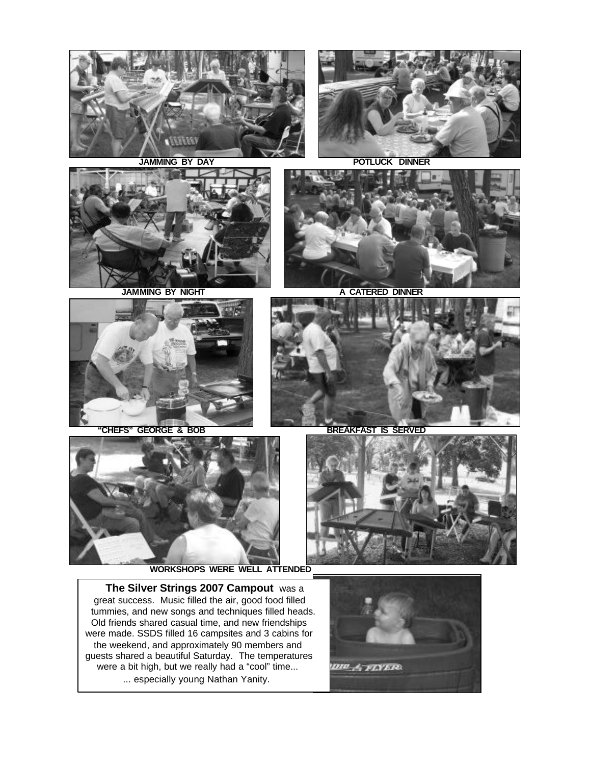









**JAMMING BY NIGHT A CATERED DINNER** 





**EXAMPLE CHEFS" GEORGE & BOB BREAKFAST IS SERVED** 



**WORKSHOPS WERE WELL ATTENDED** 



 **The Silver Strings 2007 Campout** was a great success. Music filled the air, good food filled tummies, and new songs and techniques filled heads. Old friends shared casual time, and new friendships were made. SSDS filled 16 campsites and 3 cabins for the weekend, and approximately 90 members and guests shared a beautiful Saturday. The temperatures were a bit high, but we really had a "cool" time... ... especially young Nathan Yanity.